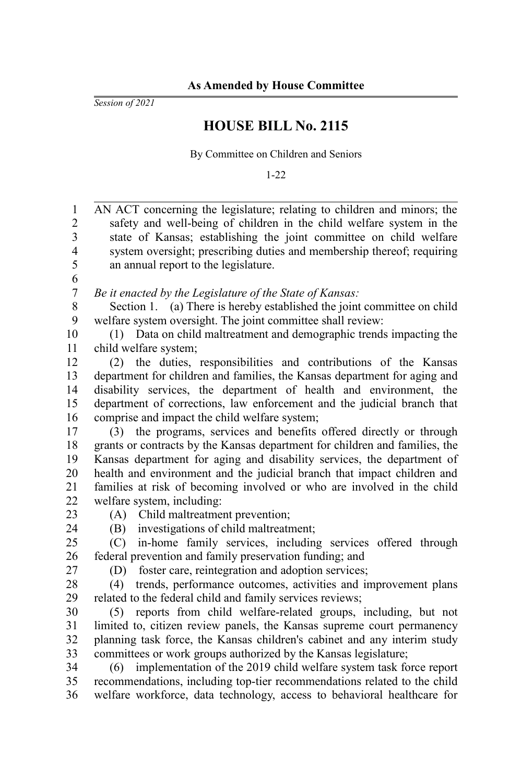*Session of 2021*

## **HOUSE BILL No. 2115**

By Committee on Children and Seniors

1-22

AN ACT concerning the legislature; relating to children and minors; the safety and well-being of children in the child welfare system in the state of Kansas; establishing the joint committee on child welfare system oversight; prescribing duties and membership thereof; requiring an annual report to the legislature. *Be it enacted by the Legislature of the State of Kansas:* Section 1. (a) There is hereby established the joint committee on child welfare system oversight. The joint committee shall review: (1) Data on child maltreatment and demographic trends impacting the child welfare system; (2) the duties, responsibilities and contributions of the Kansas department for children and families, the Kansas department for aging and disability services, the department of health and environment, the department of corrections, law enforcement and the judicial branch that comprise and impact the child welfare system; (3) the programs, services and benefits offered directly or through grants or contracts by the Kansas department for children and families, the Kansas department for aging and disability services, the department of health and environment and the judicial branch that impact children and families at risk of becoming involved or who are involved in the child welfare system, including: (A) Child maltreatment prevention; (B) investigations of child maltreatment; (C) in-home family services, including services offered through federal prevention and family preservation funding; and (D) foster care, reintegration and adoption services; (4) trends, performance outcomes, activities and improvement plans related to the federal child and family services reviews; (5) reports from child welfare-related groups, including, but not limited to, citizen review panels, the Kansas supreme court permanency planning task force, the Kansas children's cabinet and any interim study committees or work groups authorized by the Kansas legislature; (6) implementation of the 2019 child welfare system task force report recommendations, including top-tier recommendations related to the child welfare workforce, data technology, access to behavioral healthcare for 1 2 3 4 5 6 7 8 9 10 11 12 13 14 15 16 17 18 19 20 21 22 23 24 25 26 27 28 29 30 31 32 33 34 35 36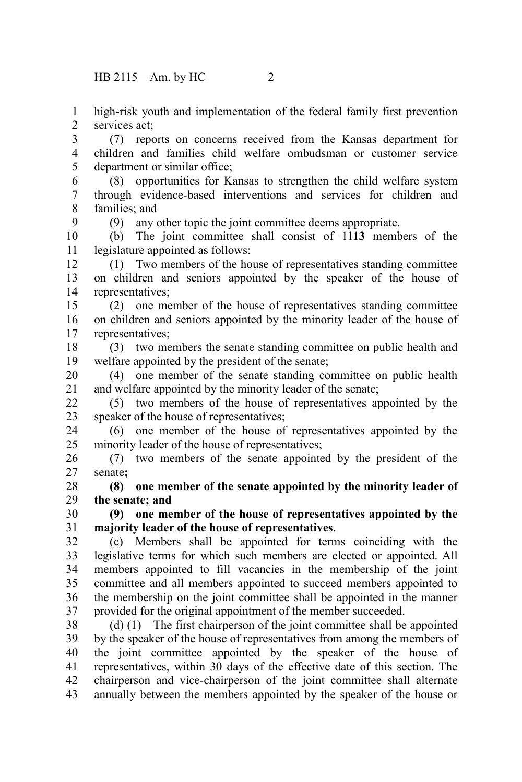HB 2115—Am. by HC 2

9

high-risk youth and implementation of the federal family first prevention services act; 1 2

(7) reports on concerns received from the Kansas department for children and families child welfare ombudsman or customer service department or similar office; 3 4 5

(8) opportunities for Kansas to strengthen the child welfare system through evidence-based interventions and services for children and families; and 6 7 8

(9) any other topic the joint committee deems appropriate.

(b) The joint committee shall consist of 11**13** members of the legislature appointed as follows: 10 11

(1) Two members of the house of representatives standing committee on children and seniors appointed by the speaker of the house of representatives; 12 13 14

(2) one member of the house of representatives standing committee on children and seniors appointed by the minority leader of the house of representatives; 15 16 17

(3) two members the senate standing committee on public health and welfare appointed by the president of the senate; 18 19

(4) one member of the senate standing committee on public health and welfare appointed by the minority leader of the senate; 20 21

(5) two members of the house of representatives appointed by the speaker of the house of representatives;  $22$ 23

(6) one member of the house of representatives appointed by the minority leader of the house of representatives; 24 25

(7) two members of the senate appointed by the president of the senate**;** 26 27

**(8) one member of the senate appointed by the minority leader of the senate; and** 28 29

**(9) one member of the house of representatives appointed by the majority leader of the house of representatives**. 30 31

(c) Members shall be appointed for terms coinciding with the legislative terms for which such members are elected or appointed. All members appointed to fill vacancies in the membership of the joint committee and all members appointed to succeed members appointed to the membership on the joint committee shall be appointed in the manner provided for the original appointment of the member succeeded. 32 33 34 35 36 37

(d) (1) The first chairperson of the joint committee shall be appointed by the speaker of the house of representatives from among the members of the joint committee appointed by the speaker of the house of representatives, within 30 days of the effective date of this section. The chairperson and vice-chairperson of the joint committee shall alternate annually between the members appointed by the speaker of the house or 38 39 40 41 42 43